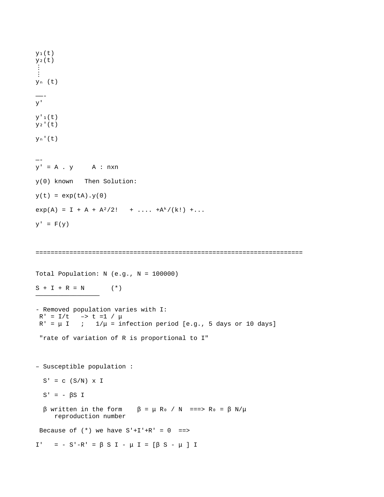$y_1(t)$  $y_2(t)$ ⋮ ⋮  $y_n$  (t) ——-  $V^{\perp}$  $y'$ <sub>1</sub> $(t)$  $y_2'(t)$  $y_n'(t)$ — y' = A . y A : nxn y(0) known Then Solution:  $y(t) = exp(tA).y(0)$  $exp(A) = I + A + A^2/2! + ... + A^k/(k!) + ...$  $y' = F(y)$ ======================================================================= Total Population:  $N$  (e.g.,  $N = 100000$ )  $S + I + R = N$  (\*) ————————————————— - Removed population varies with I:  $R' = I/t$  -> t =1 / μ  $R' = \mu I$  ;  $1/\mu =$  infection period [e.g., 5 days or 10 days] "rate of variation of R is proportional to I" – Susceptible population :  $S' = c (S/N) \times I$  $S' = - \beta S I$ β written in the form  $β = μ$  R<sub>0</sub> / N ===> R<sub>0</sub> = β N/μ reproduction number Because of  $(*)$  we have  $S'+I'+R' = 0$  ==> I' = - S'-R' = β S I - μ I = [β S - μ ] I